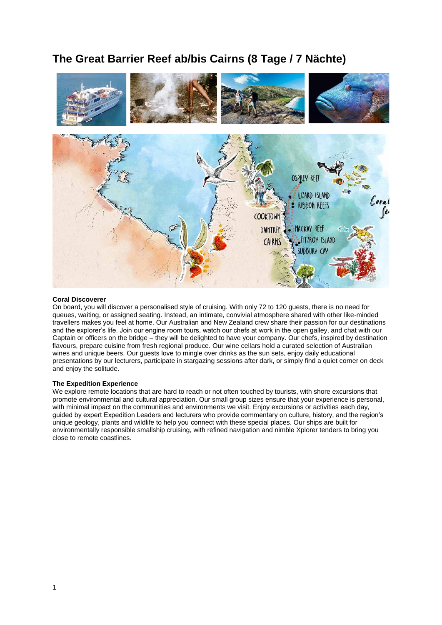# **The Great Barrier Reef ab/bis Cairns (8 Tage / 7 Nächte)**



#### **Coral Discoverer**

On board, you will discover a personalised style of cruising. With only 72 to 120 guests, there is no need for queues, waiting, or assigned seating. Instead, an intimate, convivial atmosphere shared with other like-minded travellers makes you feel at home. Our Australian and New Zealand crew share their passion for our destinations and the explorer's life. Join our engine room tours, watch our chefs at work in the open galley, and chat with our Captain or officers on the bridge – they will be delighted to have your company. Our chefs, inspired by destination flavours, prepare cuisine from fresh regional produce. Our wine cellars hold a curated selection of Australian wines and unique beers. Our guests love to mingle over drinks as the sun sets, enjoy daily educational presentations by our lecturers, participate in stargazing sessions after dark, or simply find a quiet corner on deck and enjoy the solitude.

#### **The Expedition Experience**

We explore remote locations that are hard to reach or not often touched by tourists, with shore excursions that promote environmental and cultural appreciation. Our small group sizes ensure that your experience is personal, with minimal impact on the communities and environments we visit. Enjoy excursions or activities each day, guided by expert Expedition Leaders and lecturers who provide commentary on culture, history, and the region's unique geology, plants and wildlife to help you connect with these special places. Our ships are built for environmentally responsible smallship cruising, with refined navigation and nimble Xplorer tenders to bring you close to remote coastlines.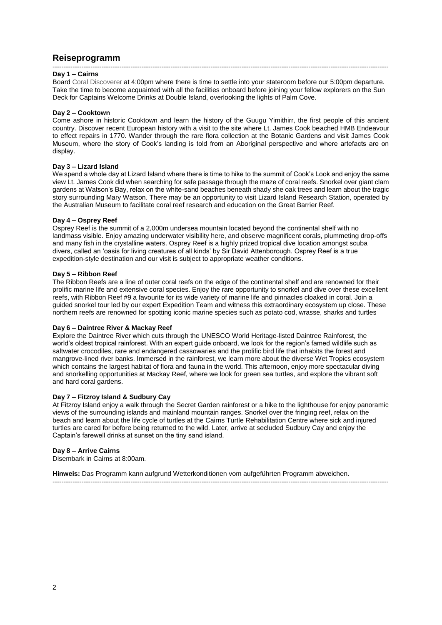# **Reiseprogramm**

#### ------------------------------------------------------------------------------------------------------------------------------------------------------- **Day 1 – Cairns**

Board Coral Discoverer at 4:00pm where there is time to settle into your stateroom before our 5:00pm departure. Take the time to become acquainted with all the facilities onboard before joining your fellow explorers on the Sun Deck for Captains Welcome Drinks at Double Island, overlooking the lights of Palm Cove.

#### **Day 2 – Cooktown**

Come ashore in historic Cooktown and learn the history of the Guugu Yimithirr, the first people of this ancient country. Discover recent European history with a visit to the site where Lt. James Cook beached HMB Endeavour to effect repairs in 1770. Wander through the rare flora collection at the Botanic Gardens and visit James Cook Museum, where the story of Cook's landing is told from an Aboriginal perspective and where artefacts are on display.

# **Day 3 – Lizard Island**

We spend a whole day at Lizard Island where there is time to hike to the summit of Cook's Look and enjoy the same view Lt. James Cook did when searching for safe passage through the maze of coral reefs. Snorkel over giant clam gardens at Watson's Bay, relax on the white-sand beaches beneath shady she oak trees and learn about the tragic story surrounding Mary Watson. There may be an opportunity to visit Lizard Island Research Station, operated by the Australian Museum to facilitate coral reef research and education on the Great Barrier Reef.

# **Day 4 – Osprey Reef**

Osprey Reef is the summit of a 2,000m undersea mountain located beyond the continental shelf with no landmass visible. Enjoy amazing underwater visibility here, and observe magnificent corals, plummeting drop-offs and many fish in the crystalline waters. Osprey Reef is a highly prized tropical dive location amongst scuba divers, called an 'oasis for living creatures of all kinds' by Sir David Attenborough. Osprey Reef is a true expedition-style destination and our visit is subject to appropriate weather conditions.

# **Day 5 – Ribbon Reef**

The Ribbon Reefs are a line of outer coral reefs on the edge of the continental shelf and are renowned for their prolific marine life and extensive coral species. Enjoy the rare opportunity to snorkel and dive over these excellent reefs, with Ribbon Reef #9 a favourite for its wide variety of marine life and pinnacles cloaked in coral. Join a guided snorkel tour led by our expert Expedition Team and witness this extraordinary ecosystem up close. These northern reefs are renowned for spotting iconic marine species such as potato cod, wrasse, sharks and turtles

#### **Day 6 – Daintree River & Mackay Reef**

Explore the Daintree River which cuts through the UNESCO World Heritage-listed Daintree Rainforest, the world's oldest tropical rainforest. With an expert guide onboard, we look for the region's famed wildlife such as saltwater crocodiles, rare and endangered cassowaries and the prolific bird life that inhabits the forest and mangrove-lined river banks. Immersed in the rainforest, we learn more about the diverse Wet Tropics ecosystem which contains the largest habitat of flora and fauna in the world. This afternoon, enjoy more spectacular diving and snorkelling opportunities at Mackay Reef, where we look for green sea turtles, and explore the vibrant soft and hard coral gardens.

# **Day 7 – Fitzroy Island & Sudbury Cay**

At Fitzroy Island enjoy a walk through the Secret Garden rainforest or a hike to the lighthouse for enjoy panoramic views of the surrounding islands and mainland mountain ranges. Snorkel over the fringing reef, relax on the beach and learn about the life cycle of turtles at the Cairns Turtle Rehabilitation Centre where sick and injured turtles are cared for before being returned to the wild. Later, arrive at secluded Sudbury Cay and enjoy the Captain's farewell drinks at sunset on the tiny sand island.

-------------------------------------------------------------------------------------------------------------------------------------------------------

#### **Day 8 – Arrive Cairns**

Disembark in Cairns at 8:00am.

**Hinweis:** Das Programm kann aufgrund Wetterkonditionen vom aufgeführten Programm abweichen.